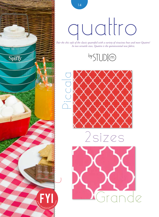

# quattro

*Pair the chic style of the classic quatrefoil with a variety of vivacious hues and meet Quattro! In two versatile sizes, Quattro is the quintessential new fabric.*









14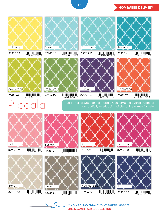### 15 NOVEMBER DELIVERY



qua<sup>tre foil: a symmetrical shape which forms the overall outline of rour partially-overlapping circles of the same diameter.</sup>



 $32985 58$   $\frac{1}{2}$   $\frac{1}{2}$   $\frac{1}{2}$   $\frac{1}{2}$   $\frac{1}{2}$   $\frac{1}{2}$   $\frac{1}{2}$   $\frac{1}{2}$   $\frac{1}{2}$   $\frac{1}{2}$   $\frac{1}{2}$   $\frac{1}{2}$   $\frac{1}{2}$   $\frac{1}{2}$   $\frac{1}{2}$   $\frac{1}{2}$   $\frac{1}{2}$   $\frac{1}{2}$   $\frac{1}{2}$   $\frac{1}{2}$   $\frac{1}{2}$ 

Sand

 $3298532$   $\frac{1}{2}$   $\frac{1}{2}$   $\frac{1}{2}$   $\frac{1}{2}$   $\frac{1}{2}$   $\frac{1}{2}$   $\frac{1}{2}$   $\frac{1}{2}$   $\frac{1}{2}$   $\frac{1}{2}$   $\frac{1}{2}$   $\frac{1}{2}$   $\frac{1}{2}$   $\frac{1}{2}$   $\frac{1}{2}$   $\frac{1}{2}$   $\frac{1}{2}$   $\frac{1}{2}$   $\frac{1}{2}$   $\frac{1}{2}$   $\frac{1}{2}$ 



 $32985 50$   $\frac{1}{2}$   $\frac{1}{52106}$   $\frac{1}{15747}$ 

Dove





 $3298537$   $752106435743$ 

**Nautical Blu** 



 $3298533$   $\frac{1}{2}$   $\frac{1}{2}$   $\frac{1}{2}$   $\frac{1}{2}$   $\frac{1}{2}$   $\frac{1}{2}$   $\frac{1}{2}$   $\frac{1}{2}$   $\frac{1}{2}$   $\frac{1}{2}$   $\frac{1}{2}$   $\frac{1}{2}$   $\frac{1}{2}$   $\frac{1}{2}$   $\frac{1}{2}$   $\frac{1}{2}$   $\frac{1}{2}$   $\frac{1}{2}$   $\frac{1}{2}$   $\frac{1}{2}$   $\frac{1}{2}$ 



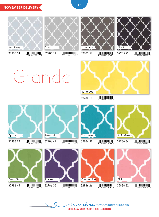## **NOVEMBER DELIVERY**



 $3298554$   $\frac{1}{2}$   $\frac{1}{2}$   $\frac{1}{2}$   $\frac{1}{2}$   $\frac{1}{2}$   $\frac{1}{2}$   $\frac{1}{2}$   $\frac{1}{2}$   $\frac{1}{2}$   $\frac{1}{2}$   $\frac{1}{2}$   $\frac{1}{2}$   $\frac{1}{2}$   $\frac{1}{2}$   $\frac{1}{2}$   $\frac{1}{2}$   $\frac{1}{2}$   $\frac{1}{2}$   $\frac{1}{2}$   $\frac{1}{2}$   $\frac{1}{2}$ 







 $3298552$   $\frac{1}{7}$   $\frac{1}{52106}$   $\frac{1}{15748}$ 

32985 29  $\frac{1}{7}$   $\frac{1}{52106}$  15738

# Grande



 $32986$  13  $\frac{1}{7}$   $\frac{1}{52106}$   $\frac{1}{15754}$   $\frac{1}{5}$ 







 $32986 64$   $\frac{1}{2}$   $\frac{1}{52106}$   $\frac{1}{15771}$ Acid Green









**2014 Summer Fabric collection** www.modafabrics.com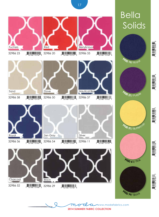

 $3298652$   $\frac{1}{7}$   $\frac{1}{52106}$   $\frac{1}{15768}$   $\frac{1}{2}$ 

 $32986 29$   $\frac{1}{7}$   $\frac{1}{52106}$   $\frac{1}{15758}$   $\frac{1}{3}$ 

**2014 Summer Fabric collection** www.modafabrics.com

**<sup>9</sup>90<sup>0</sup> <sup>9</sup>9**/ <sup>B</sup>lac<sup>k</sup>